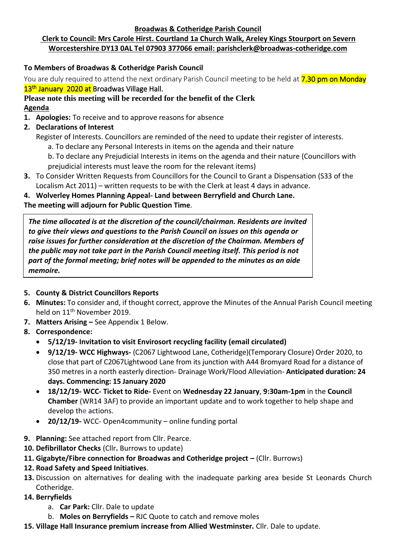#### **Broadwas & Cotheridge Parish Council**

## **Clerk to Council: Mrs Carole Hirst. Courtland 1a Church Walk, Areley Kings Stourport on Severn Worcestershire DY13 0AL Tel 07903 377066 email: parishclerk@broadwas-cotheridge.com**

## **To Members of Broadwas & Cotheridge Parish Council**

You are duly required to attend the next ordinary Parish Council meeting to be held at **7.30 pm on Monday** 13<sup>th</sup> January 2020 at Broadwas Village Hall.

## **Please note this meeting will be recorded for the benefit of the Clerk Agenda**

- **1. Apologies:** To receive and to approve reasons for absence
- **2. Declarations of Interest**
	- Register of Interests. Councillors are reminded of the need to update their register of interests.
		- a. To declare any Personal Interests in items on the agenda and their nature
		- b. To declare any Prejudicial Interests in items on the agenda and their nature (Councillors with prejudicial interests must leave the room for the relevant items)
- **3.** To Consider Written Requests from Councillors for the Council to Grant a Dispensation (S33 of the Localism Act 2011) – written requests to be with the Clerk at least 4 days in advance.

### **4. Wolverley Homes Planning Appeal- Land between Berryfield and Church Lane.**

**The meeting will adjourn for Public Question Time**.

*The time allocated is at the discretion of the council/chairman. Residents are invited to give their views and questions to the Parish Council on issues on this agenda or raise issues for further consideration at the discretion of the Chairman. Members of the public may not take part in the Parish Council meeting itself. This period is not part of the formal meeting; brief notes will be appended to the minutes as an aide memoire.*

### **5. County & District Councillors Reports**

- **6. Minutes:** To consider and, if thought correct, approve the Minutes of the Annual Parish Council meeting held on 11<sup>th</sup> November 2019.
- **7. Matters Arising –** See Appendix 1 Below.
- **8. Correspondence:**
	- **5/12/19- Invitation to visit Envirosort recycling facility (email circulated)**
	- **9/12/19- WCC Highways-** (C2067 Lightwood Lane, Cotheridge)(Temporary Closure) Order 2020, to close that part of C2067Lightwood Lane from its junction with A44 Bromyard Road for a distance of 350 metres in a north easterly direction- Drainage Work/Flood Alleviation- **Anticipated duration: 24 days. Commencing: 15 January 2020**
	- **18/12/19- WCC- Ticket to Ride-** Event on **Wednesday 22 January**, **9:30am-1pm** in the **Council Chamber** (WR14 3AF) to provide an important update and to work together to help shape and develop the actions.
	- **20/12/19-** WCC- Open4community online funding portal
- **9. Planning:** See attached report from Cllr. Pearce.
- **10. Defibrillator Checks** (Cllr**.** Burrows to update)
- **11. Gigabyte/Fibre connection for Broadwas and Cotheridge project –** (Cllr. Burrows)
- **12. Road Safety and Speed Initiatives**.
- **13.** Discussion on alternatives for dealing with the inadequate parking area beside St Leonards Church Cotheridge.
- **14. Berryfields**
	- a. **Car Park:** Cllr. Dale to update
	- b. **Moles on Berryfields –** RJC Quote to catch and remove moles
- **15. Village Hall Insurance premium increase from Allied Westminster.** Cllr. Dale to update.